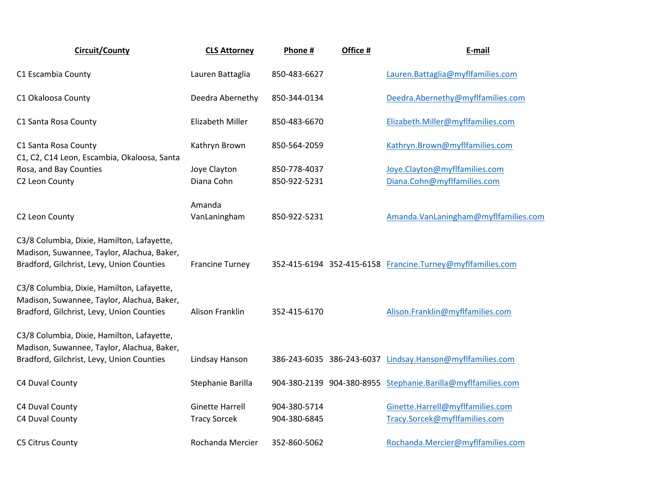| <b>Circuit/County</b>                                                                                                                 | <b>CLS Attorney</b>                           | Phone #                      | Office # | E-mail                                                            |
|---------------------------------------------------------------------------------------------------------------------------------------|-----------------------------------------------|------------------------------|----------|-------------------------------------------------------------------|
| C1 Escambia County                                                                                                                    | Lauren Battaglia                              | 850-483-6627                 |          | Lauren.Battaglia@myflfamilies.com                                 |
| C1 Okaloosa County                                                                                                                    | Deedra Abernethy                              | 850-344-0134                 |          | Deedra.Abernethy@myflfamilies.com                                 |
| C1 Santa Rosa County                                                                                                                  | Elizabeth Miller                              | 850-483-6670                 |          | Elizabeth.Miller@myflfamilies.com                                 |
| C1 Santa Rosa County                                                                                                                  | Kathryn Brown                                 | 850-564-2059                 |          | Kathryn.Brown@myflfamilies.com                                    |
| C1, C2, C14 Leon, Escambia, Okaloosa, Santa<br>Rosa, and Bay Counties<br>C2 Leon County                                               | Joye Clayton<br>Diana Cohn                    | 850-778-4037<br>850-922-5231 |          | Joye.Clayton@myflfamilies.com<br>Diana.Cohn@myflfamilies.com      |
| C2 Leon County                                                                                                                        | Amanda<br>VanLaningham                        | 850-922-5231                 |          | Amanda.VanLaningham@myflfamilies.com                              |
| C3/8 Columbia, Dixie, Hamilton, Lafayette,<br>Madison, Suwannee, Taylor, Alachua, Baker,<br>Bradford, Gilchrist, Levy, Union Counties | <b>Francine Turney</b>                        |                              |          | 352-415-6194 352-415-6158 Francine.Turney@myflfamilies.com        |
| C3/8 Columbia, Dixie, Hamilton, Lafayette,<br>Madison, Suwannee, Taylor, Alachua, Baker,<br>Bradford, Gilchrist, Levy, Union Counties | Alison Franklin                               | 352-415-6170                 |          | Alison.Franklin@myflfamilies.com                                  |
| C3/8 Columbia, Dixie, Hamilton, Lafayette,<br>Madison, Suwannee, Taylor, Alachua, Baker,<br>Bradford, Gilchrist, Levy, Union Counties | Lindsay Hanson                                |                              |          | 386-243-6035 386-243-6037 Lindsay.Hanson@myflfamilies.com         |
| C4 Duval County                                                                                                                       | Stephanie Barilla                             |                              |          | 904-380-2139 904-380-8955 Stephanie.Barilla@myflfamilies.com      |
| C4 Duval County<br>C4 Duval County                                                                                                    | <b>Ginette Harrell</b><br><b>Tracy Sorcek</b> | 904-380-5714<br>904-380-6845 |          | Ginette.Harrell@myflfamilies.com<br>Tracy.Sorcek@myflfamilies.com |
| C5 Citrus County                                                                                                                      | Rochanda Mercier                              | 352-860-5062                 |          | Rochanda.Mercier@myflfamilies.com                                 |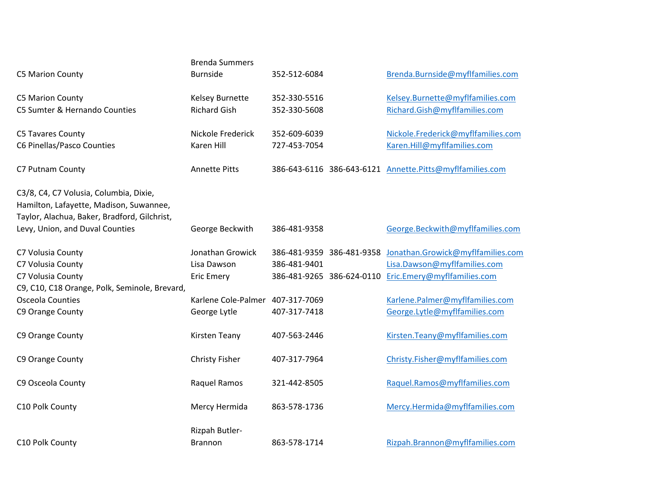| <b>C5 Marion County</b>                                                                                                                                              | <b>Brenda Summers</b><br><b>Burnside</b>             | 352-512-6084                                                           | Brenda.Burnside@myflfamilies.com                                                                 |
|----------------------------------------------------------------------------------------------------------------------------------------------------------------------|------------------------------------------------------|------------------------------------------------------------------------|--------------------------------------------------------------------------------------------------|
| <b>C5 Marion County</b><br>C5 Sumter & Hernando Counties                                                                                                             | Kelsey Burnette<br><b>Richard Gish</b>               | 352-330-5516<br>352-330-5608                                           | Kelsey.Burnette@myflfamilies.com<br>Richard.Gish@myflfamilies.com                                |
| C5 Tavares County<br>C6 Pinellas/Pasco Counties                                                                                                                      | Nickole Frederick<br>Karen Hill                      | 352-609-6039<br>727-453-7054                                           | Nickole.Frederick@myflfamilies.com<br>Karen.Hill@myflfamilies.com                                |
| C7 Putnam County                                                                                                                                                     | <b>Annette Pitts</b>                                 |                                                                        | 386-643-6116 386-643-6121 Annette.Pitts@myflfamilies.com                                         |
| C3/8, C4, C7 Volusia, Columbia, Dixie,<br>Hamilton, Lafayette, Madison, Suwannee,<br>Taylor, Alachua, Baker, Bradford, Gilchrist,<br>Levy, Union, and Duval Counties | George Beckwith                                      | 386-481-9358                                                           | George.Beckwith@myflfamilies.com                                                                 |
| C7 Volusia County<br>C7 Volusia County<br>C7 Volusia County                                                                                                          | Jonathan Growick<br>Lisa Dawson<br><b>Eric Emery</b> | 386-481-9359 386-481-9358<br>386-481-9401<br>386-481-9265 386-624-0110 | Jonathan.Growick@myflfamilies.com<br>Lisa.Dawson@myflfamilies.com<br>Eric.Emery@myflfamilies.com |
| C9, C10, C18 Orange, Polk, Seminole, Brevard,<br><b>Osceola Counties</b><br>C9 Orange County                                                                         | Karlene Cole-Palmer<br>George Lytle                  | 407-317-7069<br>407-317-7418                                           | Karlene.Palmer@myflfamilies.com<br>George.Lytle@myflfamilies.com                                 |
| C9 Orange County                                                                                                                                                     | Kirsten Teany                                        | 407-563-2446                                                           | Kirsten.Teany@myflfamilies.com                                                                   |
| C9 Orange County                                                                                                                                                     | <b>Christy Fisher</b>                                | 407-317-7964                                                           | Christy.Fisher@myflfamilies.com                                                                  |
| C9 Osceola County                                                                                                                                                    | Raquel Ramos                                         | 321-442-8505                                                           | Raquel.Ramos@myflfamilies.com                                                                    |
| C10 Polk County                                                                                                                                                      | Mercy Hermida                                        | 863-578-1736                                                           | Mercy.Hermida@myflfamilies.com                                                                   |
| C10 Polk County                                                                                                                                                      | Rizpah Butler-<br><b>Brannon</b>                     | 863-578-1714                                                           | Rizpah.Brannon@myflfamilies.com                                                                  |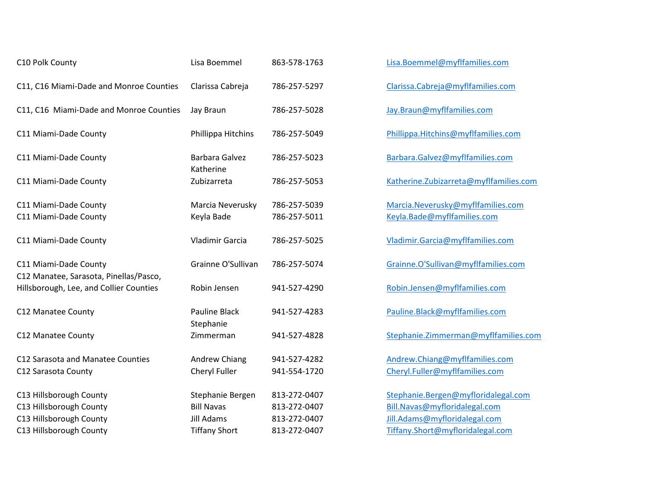| C10 Polk County                                                 | Lisa Boemmel                          | 863-578-1763                 | Lisa.Boemmel@myflfamilies.com                                        |
|-----------------------------------------------------------------|---------------------------------------|------------------------------|----------------------------------------------------------------------|
| C11, C16 Miami-Dade and Monroe Counties                         | Clarissa Cabreja                      | 786-257-5297                 | Clarissa.Cabreja@myflfamilies.com                                    |
| C11, C16 Miami-Dade and Monroe Counties                         | Jay Braun                             | 786-257-5028                 | Jay.Braun@myflfamilies.com                                           |
| C11 Miami-Dade County                                           | Phillippa Hitchins                    | 786-257-5049                 | Phillippa.Hitchins@myflfamilies.com                                  |
| C11 Miami-Dade County                                           | <b>Barbara Galvez</b><br>Katherine    | 786-257-5023                 | Barbara.Galvez@myflfamilies.com                                      |
| C11 Miami-Dade County                                           | Zubizarreta                           | 786-257-5053                 | Katherine.Zubizarreta@myflfamilies.com                               |
| C11 Miami-Dade County<br>C11 Miami-Dade County                  | Marcia Neverusky<br>Keyla Bade        | 786-257-5039<br>786-257-5011 | Marcia.Neverusky@myflfamilies.com<br>Keyla.Bade@myflfamilies.com     |
| C11 Miami-Dade County                                           | Vladimir Garcia                       | 786-257-5025                 | Vladimir.Garcia@myflfamilies.com                                     |
| C11 Miami-Dade County<br>C12 Manatee, Sarasota, Pinellas/Pasco, | Grainne O'Sullivan                    | 786-257-5074                 | Grainne.O'Sullivan@myflfamilies.com                                  |
| Hillsborough, Lee, and Collier Counties                         | Robin Jensen                          | 941-527-4290                 | Robin.Jensen@myflfamilies.com                                        |
| C12 Manatee County                                              | <b>Pauline Black</b><br>Stephanie     | 941-527-4283                 | Pauline.Black@myflfamilies.com                                       |
| C12 Manatee County                                              | Zimmerman                             | 941-527-4828                 | Stephanie.Zimmerman@myflfamilies.com                                 |
| C12 Sarasota and Manatee Counties<br>C12 Sarasota County        | <b>Andrew Chiang</b><br>Cheryl Fuller | 941-527-4282<br>941-554-1720 | Andrew.Chiang@myflfamilies.com<br>Cheryl.Fuller@myflfamilies.com     |
| C13 Hillsborough County<br>C13 Hillsborough County              | Stephanie Bergen<br><b>Bill Navas</b> | 813-272-0407<br>813-272-0407 | Stephanie.Bergen@myfloridalegal.com<br>Bill.Navas@myfloridalegal.com |
| C13 Hillsborough County                                         | Jill Adams                            | 813-272-0407                 | Jill.Adams@myfloridalegal.com                                        |
| C13 Hillsborough County                                         | <b>Tiffany Short</b>                  | 813-272-0407                 | Tiffany.Short@myfloridalegal.com                                     |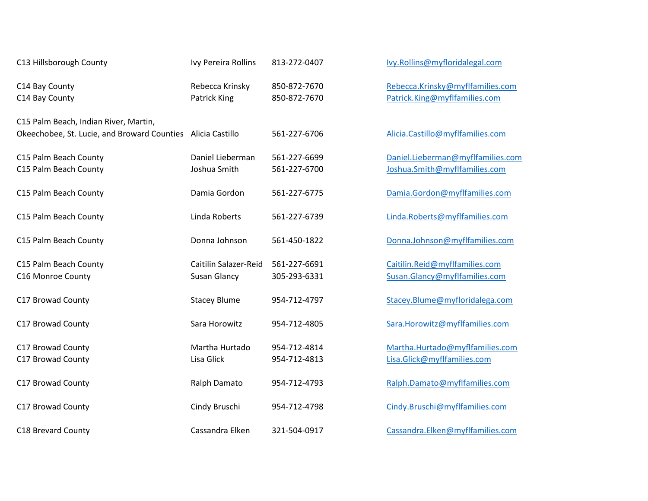| C13 Hillsborough County                                                                              | Ivy Pereira Rollins                          | 813-272-0407                 | Ivy.Rollins@myfloridalegal.com                                     |
|------------------------------------------------------------------------------------------------------|----------------------------------------------|------------------------------|--------------------------------------------------------------------|
| C14 Bay County<br>C14 Bay County                                                                     | Rebecca Krinsky<br>Patrick King              | 850-872-7670<br>850-872-7670 | Rebecca.Krinsky@myflfamilies.com<br>Patrick.King@myflfamilies.com  |
| C15 Palm Beach, Indian River, Martin,<br>Okeechobee, St. Lucie, and Broward Counties Alicia Castillo |                                              | 561-227-6706                 | Alicia.Castillo@myflfamilies.com                                   |
| C15 Palm Beach County<br>C15 Palm Beach County                                                       | Daniel Lieberman<br>Joshua Smith             | 561-227-6699<br>561-227-6700 | Daniel.Lieberman@myflfamilies.com<br>Joshua.Smith@myflfamilies.com |
| C15 Palm Beach County                                                                                | Damia Gordon                                 | 561-227-6775                 | Damia.Gordon@myflfamilies.com                                      |
| C15 Palm Beach County                                                                                | Linda Roberts                                | 561-227-6739                 | Linda.Roberts@myflfamilies.com                                     |
| C15 Palm Beach County                                                                                | Donna Johnson                                | 561-450-1822                 | Donna.Johnson@myflfamilies.com                                     |
| C15 Palm Beach County<br>C16 Monroe County                                                           | Caitilin Salazer-Reid<br><b>Susan Glancy</b> | 561-227-6691<br>305-293-6331 | Caitilin.Reid@myflfamilies.com<br>Susan.Glancy@myflfamilies.com    |
| C17 Browad County                                                                                    | <b>Stacey Blume</b>                          | 954-712-4797                 | Stacey.Blume@myfloridalega.com                                     |
| C17 Browad County                                                                                    | Sara Horowitz                                | 954-712-4805                 | Sara.Horowitz@myflfamilies.com                                     |
| C17 Browad County<br>C17 Browad County                                                               | Martha Hurtado<br>Lisa Glick                 | 954-712-4814<br>954-712-4813 | Martha.Hurtado@myflfamilies.com<br>Lisa.Glick@myflfamilies.com     |
| C17 Browad County                                                                                    | Ralph Damato                                 | 954-712-4793                 | Ralph.Damato@myflfamilies.com                                      |
| C17 Browad County                                                                                    | Cindy Bruschi                                | 954-712-4798                 | Cindy.Bruschi@myflfamilies.com                                     |
| C18 Brevard County                                                                                   | Cassandra Elken                              | 321-504-0917                 | Cassandra.Elken@myflfamilies.com                                   |